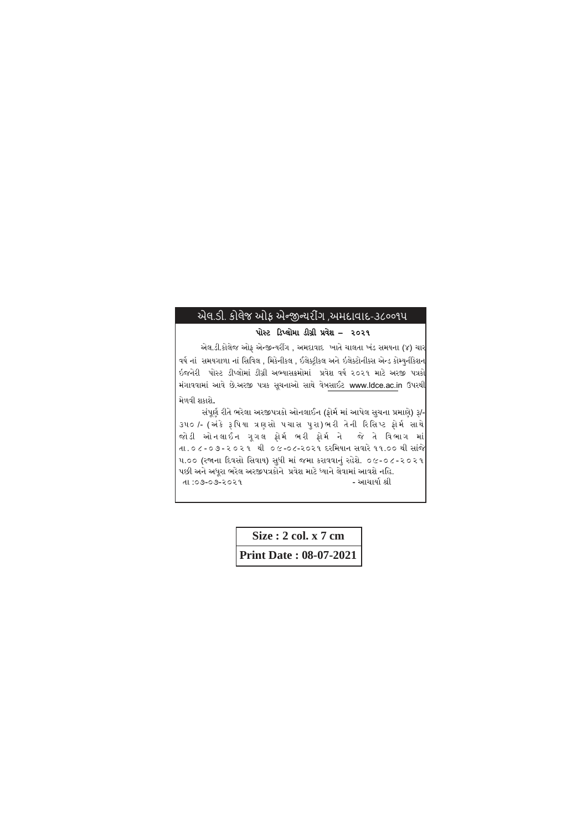## એલ.ડી. કોલેજ ઓફ એન્જીન્જયરીગીં ,અમદાવાદ-૩૮૦૦૧૫

## પોસ્ટ ડિપ્લોમા િીગ્રી પ્રવેશ – ૨૦૨૧

એલ.ડી.કોલેજ ઓફ એન્જીન્યરીંગ , અમદાવાદ ખાતે ચાલતા ખંડ સમયના (૪) ચાર વર્ષ નાં સમયગાળા નાં સિવિલ , મિકેનીકલ , ઈલેક્ટ્રીકલ અને ઇલેક્ટોનીક્સ એન્ડ કોમ્યુનીકેશન ઇજનેરી પોસ્ટ ડીપ્લોમાં ડીગ્રી અભ્યાસક્રમોમાં પ્રવેશ વર્ષ ૨૦૨૧ માટે અરજી પત્રકો મંગાવવામાં આવે છે.અરજી પત્રક સૂચનાઓ સાથે વેબસાઈટ www.ldce.ac.in ઉપરથી મેળવી શકાશે.

સંપૂર્ણ રીતે ભરેલા અરજીપત્રકો ઓનલાઈન (ફોર્મ માં આપેલ સુચના પ્રમાણે) રૂ/-૩૫૦ /- (અંકે રૂ પિયા ત્રણસો પચાસ પુરા)ભરી તેની રિસિપ્ટ ફોર્મસાથે જોડી ઓનલાઈન ગૂગલ ફોર્મ ભરી ફોર્મ ને જે તે વિભાગ માં તા . ૦ ૮ - ૦ ૭ - ૨ ૦ ૨ ૧ થી ૦ ૯ -૦૮-૨૦૨૧ દરસમયાન સવારે૧૧.૦૦ થી સાંજે ૫.૦૦ (રજાના ડદવસો સસવાય) સુધી માં જમા કરાવવાનું રહેશે. ૦૯-૦૮-૨૦૨૧ પછી અને અધૂરા ભરેલ અરજીપત્રકોને પ્રવેશ માટે ધ્યાને લેવામાં આવશે નહિ.<br>તા :૦૭-૦૭-૨૦૨૧ તા :૦૭-૦૭-૨૦૨૧

> **Size : 2 col. x 7 cm Print Date : 08-07-2021**